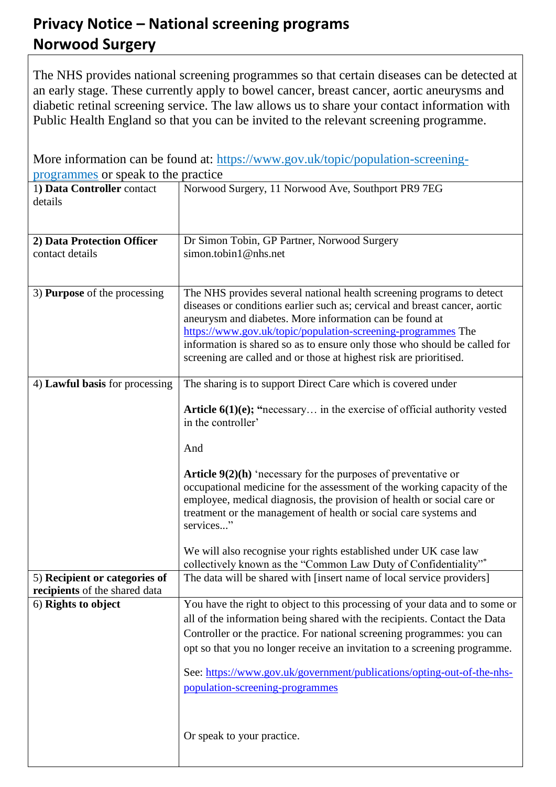## **Privacy Notice – National screening programs Norwood Surgery**

The NHS provides national screening programmes so that certain diseases can be detected at an early stage. These currently apply to bowel cancer, breast cancer, aortic aneurysms and diabetic retinal screening service. The law allows us to share your contact information with Public Health England so that you can be invited to the relevant screening programme.

| More information can be found at: https://www.gov.uk/topic/population-screening- |                                                                                                                                                                                                                                                                                                                                                                                                                                   |
|----------------------------------------------------------------------------------|-----------------------------------------------------------------------------------------------------------------------------------------------------------------------------------------------------------------------------------------------------------------------------------------------------------------------------------------------------------------------------------------------------------------------------------|
| programmes or speak to the practice                                              |                                                                                                                                                                                                                                                                                                                                                                                                                                   |
| 1) Data Controller contact<br>details                                            | Norwood Surgery, 11 Norwood Ave, Southport PR9 7EG                                                                                                                                                                                                                                                                                                                                                                                |
| 2) Data Protection Officer<br>contact details                                    | Dr Simon Tobin, GP Partner, Norwood Surgery<br>simon.tobin1@nhs.net                                                                                                                                                                                                                                                                                                                                                               |
| 3) <b>Purpose</b> of the processing                                              | The NHS provides several national health screening programs to detect<br>diseases or conditions earlier such as; cervical and breast cancer, aortic<br>aneurysm and diabetes. More information can be found at<br>https://www.gov.uk/topic/population-screening-programmes The<br>information is shared so as to ensure only those who should be called for<br>screening are called and or those at highest risk are prioritised. |
| 4) Lawful basis for processing                                                   | The sharing is to support Direct Care which is covered under                                                                                                                                                                                                                                                                                                                                                                      |
|                                                                                  | <b>Article 6(1)(e); "necessary</b> in the exercise of official authority vested<br>in the controller'<br>And                                                                                                                                                                                                                                                                                                                      |
|                                                                                  | <b>Article 9(2)(h)</b> 'necessary for the purposes of preventative or<br>occupational medicine for the assessment of the working capacity of the<br>employee, medical diagnosis, the provision of health or social care or<br>treatment or the management of health or social care systems and<br>services"                                                                                                                       |
|                                                                                  | We will also recognise your rights established under UK case law<br>collectively known as the "Common Law Duty of Confidentiality"*                                                                                                                                                                                                                                                                                               |
| 5) Recipient or categories of<br>recipients of the shared data                   | The data will be shared with [insert name of local service providers]                                                                                                                                                                                                                                                                                                                                                             |
| 6) Rights to object                                                              | You have the right to object to this processing of your data and to some or<br>all of the information being shared with the recipients. Contact the Data<br>Controller or the practice. For national screening programmes: you can<br>opt so that you no longer receive an invitation to a screening programme.<br>See: https://www.gov.uk/government/publications/opting-out-of-the-nhs-<br>population-screening-programmes      |
|                                                                                  | Or speak to your practice.                                                                                                                                                                                                                                                                                                                                                                                                        |